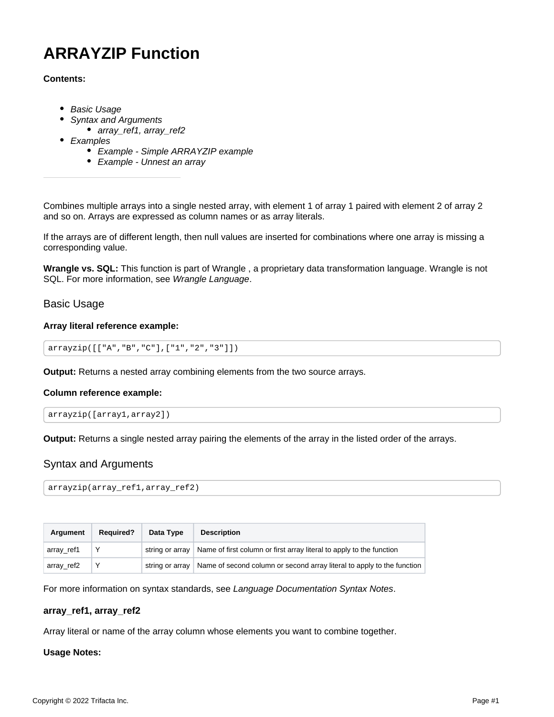# **ARRAYZIP Function**

## **Contents:**

- [Basic Usage](#page-0-0)
	- [Syntax and Arguments](#page-0-1)
		- [array\\_ref1, array\\_ref2](#page-0-2)
- [Examples](#page-1-0)
	- [Example Simple ARRAYZIP example](#page-1-1)
	- [Example Unnest an array](#page-1-2)

Combines multiple arrays into a single nested array, with element 1 of array 1 paired with element 2 of array 2 and so on. Arrays are expressed as column names or as array literals.

If the arrays are of different length, then null values are inserted for combinations where one array is missing a corresponding value.

**Wrangle vs. SQL:** This function is part of Wrangle , a proprietary data transformation language. Wrangle is not SQL. For more information, see [Wrangle Language](https://docs.trifacta.com/display/r082/Wrangle+Language).

## <span id="page-0-0"></span>Basic Usage

## **Array literal reference example:**

```
arrayzip([["A","B","C"],["1","2","3"]])
```
**Output:** Returns a nested array combining elements from the two source arrays.

#### **Column reference example:**

```
arrayzip([array1,array2])
```
**Output:** Returns a single nested array pairing the elements of the array in the listed order of the arrays.

# <span id="page-0-1"></span>Syntax and Arguments

```
arrayzip(array_ref1,array_ref2)
```

| <b>Argument</b> | <b>Required?</b> | Data Type | <b>Description</b>                                                                       |
|-----------------|------------------|-----------|------------------------------------------------------------------------------------------|
| array_ref1      |                  |           | string or array   Name of first column or first array literal to apply to the function   |
| array_ref2      |                  |           | string or array   Name of second column or second array literal to apply to the function |

For more information on syntax standards, see [Language Documentation Syntax Notes](https://docs.trifacta.com/display/r082/Language+Documentation+Syntax+Notes).

#### <span id="page-0-2"></span>**array\_ref1, array\_ref2**

Array literal or name of the array column whose elements you want to combine together.

#### **Usage Notes:**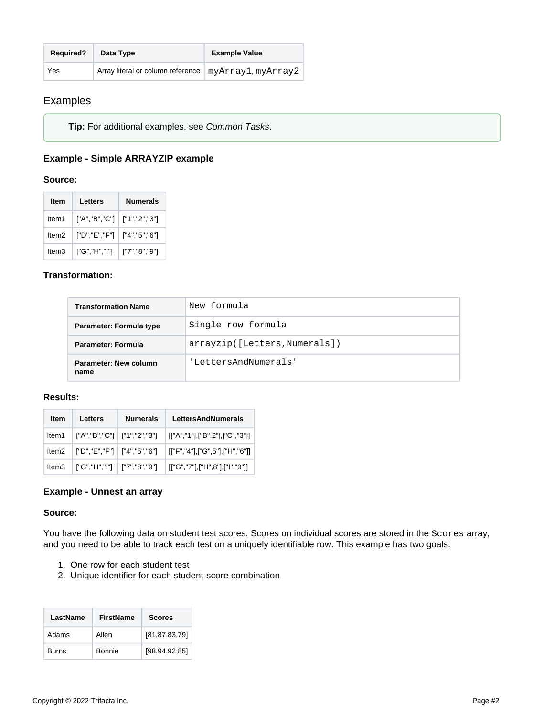| <b>Required?</b> | Data Type                                              | <b>Example Value</b> |
|------------------|--------------------------------------------------------|----------------------|
| Yes              | Array literal or column reference   myArray1, myArray2 |                      |

# <span id="page-1-0"></span>Examples

**Tip:** For additional examples, see [Common Tasks](https://docs.trifacta.com/display/r082/Common+Tasks).

# <span id="page-1-1"></span>**Example - Simple ARRAYZIP example**

## **Source:**

| ltem  | Letters                       | Numerals         |
|-------|-------------------------------|------------------|
| ltem1 | ["A","B","C"]   ["1","2","3"] |                  |
| ltem2 | ["D","E","F"]   ["4","5","6"] |                  |
| ltem3 | ["G","H","I"]                 | $[$ "7","8","9"] |

# **Transformation:**

| <b>Transformation Name</b>    | New formula                   |
|-------------------------------|-------------------------------|
| Parameter: Formula type       | Single row formula            |
| Parameter: Formula            | arrayzip([Letters, Numerals]) |
| Parameter: New column<br>name | 'LettersAndNumerals'          |

## **Results:**

| Item  | Letters                       | <b>Numerals</b> | <b>LettersAndNumerals</b>                                      |
|-------|-------------------------------|-----------------|----------------------------------------------------------------|
| ltem1 |                               |                 | ["A","B","C"]   ["1","2","3"]   [["A","1"],["B",2"],["C","3"]] |
| Item2 | ["D","E","F"]   ["4","5","6"] |                 | [["F","4"],["G",5"],["H","6"]]                                 |
| Item3 |                               |                 | ["G","H","I"]   ["7","8","9"]   [["G","7"],["H",8"],["I","9"]] |

# <span id="page-1-2"></span>**Example - Unnest an array**

## **Source:**

You have the following data on student test scores. Scores on individual scores are stored in the Scores array, and you need to be able to track each test on a uniquely identifiable row. This example has two goals:

- 1. One row for each student test
- 2. Unique identifier for each student-score combination

| LastName | <b>FirstName</b> | <b>Scores</b>    |
|----------|------------------|------------------|
| Adams    | Allen            | [81,87,83,79]    |
| Burns    | Bonnie           | [98, 94, 92, 85] |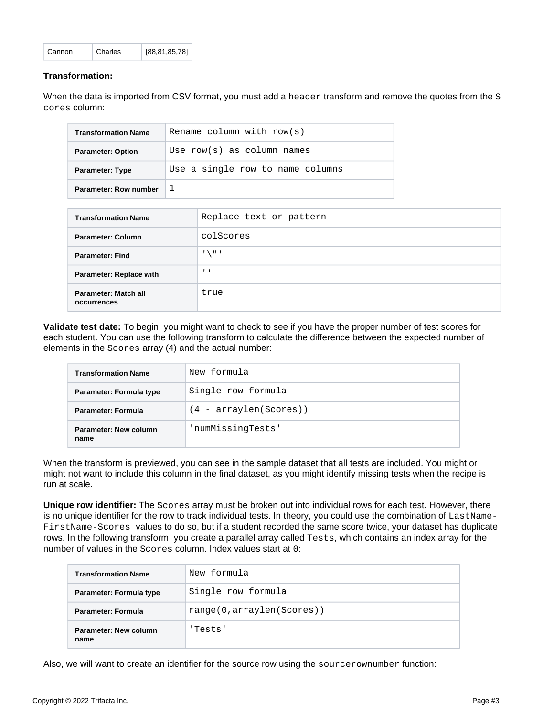| Cannon | Charles | [88, 81, 85, 78] |
|--------|---------|------------------|
|        |         |                  |

### **Transformation:**

When the data is imported from CSV format, you must add a header transform and remove the quotes from the S cores column:

| <b>Transformation Name</b> | Rename column with $row(s)$      |
|----------------------------|----------------------------------|
| <b>Parameter: Option</b>   | Use $row(s)$ as column names     |
| <b>Parameter: Type</b>     | Use a single row to name columns |
| Parameter: Row number      |                                  |

| <b>Transformation Name</b>          | Replace text or pattern |
|-------------------------------------|-------------------------|
| <b>Parameter: Column</b>            | colScores               |
| <b>Parameter: Find</b>              | $\pm$ / $\pm$ 1         |
| <b>Parameter: Replace with</b>      | $\mathbf{I}$            |
| Parameter: Match all<br>occurrences | true                    |

**Validate test date:** To begin, you might want to check to see if you have the proper number of test scores for each student. You can use the following transform to calculate the difference between the expected number of elements in the Scores array (4) and the actual number:

| <b>Transformation Name</b>    | New formula              |
|-------------------------------|--------------------------|
| Parameter: Formula type       | Single row formula       |
| Parameter: Formula            | $(4 - arraylen(Scores))$ |
| Parameter: New column<br>name | 'numMissinqTests'        |

When the transform is previewed, you can see in the sample dataset that all tests are included. You might or might not want to include this column in the final dataset, as you might identify missing tests when the recipe is run at scale.

**Unique row identifier:** The Scores array must be broken out into individual rows for each test. However, there is no unique identifier for the row to track individual tests. In theory, you could use the combination of LastName-FirstName-Scores values to do so, but if a student recorded the same score twice, your dataset has duplicate rows. In the following transform, you create a parallel array called Tests, which contains an index array for the number of values in the Scores column. Index values start at 0:

| <b>Transformation Name</b>    | New formula                |
|-------------------------------|----------------------------|
| Parameter: Formula type       | Single row formula         |
| Parameter: Formula            | range(0, arraylen(Scores)) |
| Parameter: New column<br>name | 'Tests'                    |

Also, we will want to create an identifier for the source row using the sourcerownumber function: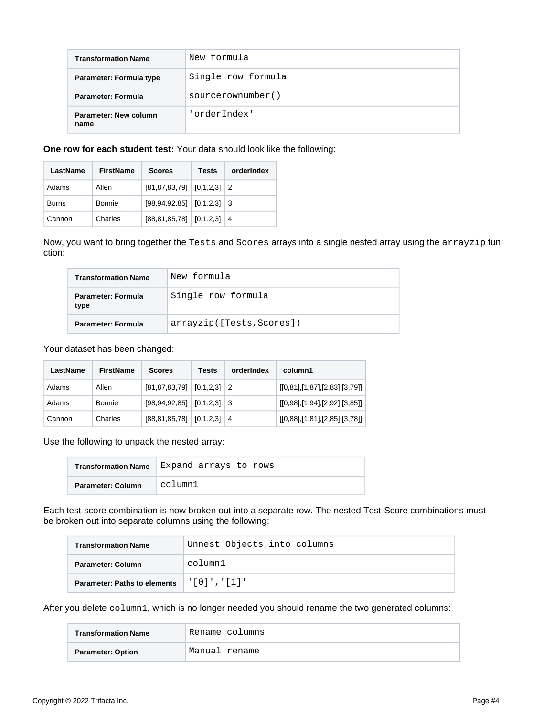| <b>Transformation Name</b>    | New formula        |
|-------------------------------|--------------------|
| Parameter: Formula type       | Single row formula |
| Parameter: Formula            | sourcerownumber()  |
| Parameter: New column<br>name | 'orderIndex'       |

**One row for each student test:** Your data should look like the following:

| LastName | <b>FirstName</b> | <b>Scores</b>                     | <b>Tests</b> | orderIndex |
|----------|------------------|-----------------------------------|--------------|------------|
| Adams    | Allen            | $[81, 87, 83, 79]$ $[0, 1, 2, 3]$ |              | -2         |
| Burns    | Bonnie           | $[98, 94, 92, 85]$ $[0, 1, 2, 3]$ |              | -3         |
| Cannon   | Charles          | $[88, 81, 85, 78]$ $[0, 1, 2, 3]$ |              | 4          |

Now, you want to bring together the Tests and Scores arrays into a single nested array using the arrayzip fun ction:

| <b>Transformation Name</b> | New formula               |
|----------------------------|---------------------------|
| Parameter: Formula<br>type | Single row formula        |
| Parameter: Formula         | arrayzip([Tests, Scores]) |

Your dataset has been changed:

| LastName | <b>FirstName</b> | <b>Scores</b>                       | Tests | orderIndex | column1                       |
|----------|------------------|-------------------------------------|-------|------------|-------------------------------|
| Adams    | Allen            | $[81, 87, 83, 79]$ $[0, 1, 2, 3]$ 2 |       |            | [[0,81],[1,87],[2,83],[3,79]] |
| Adams    | Bonnie           | $[98, 94, 92, 85]$ $[0, 1, 2, 3]$ 3 |       |            | [[0,98],[1,94],[2,92],[3,85]] |
| Cannon   | Charles          | $[88, 81, 85, 78]$ $[0, 1, 2, 3]$   |       | 4          | [[0,88],[1,81],[2,85],[3,78]] |

Use the following to unpack the nested array:

| <b>Transformation Name</b> | Expand arrays to rows |
|----------------------------|-----------------------|
| Parameter: Column          | column1               |

Each test-score combination is now broken out into a separate row. The nested Test-Score combinations must be broken out into separate columns using the following:

| <b>Transformation Name</b>                           | Unnest Objects into columns |
|------------------------------------------------------|-----------------------------|
| Parameter: Column                                    | column1                     |
| <b>Parameter: Paths to elements</b>   '[0] ', '[1] ' |                             |

After you delete column1, which is no longer needed you should rename the two generated columns:

| <b>Transformation Name</b> | 'Rename columns |
|----------------------------|-----------------|
| <b>Parameter: Option</b>   | Manual rename   |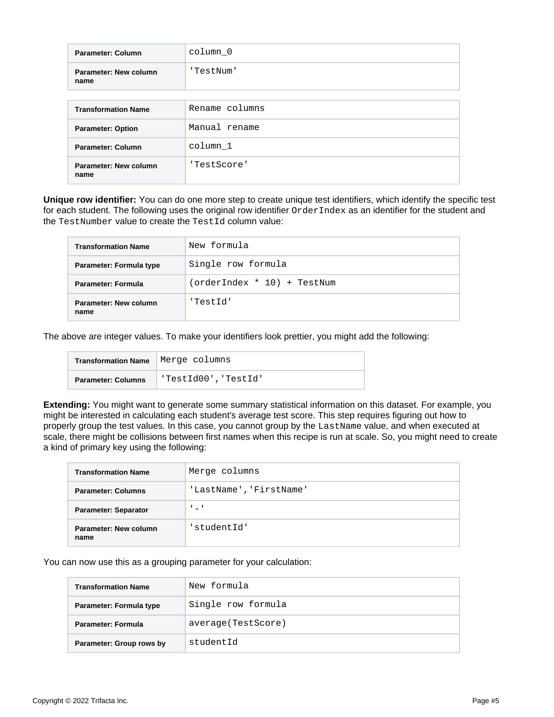| Parameter: Column             | column 0       |
|-------------------------------|----------------|
| Parameter: New column<br>name | 'TestNum'      |
|                               |                |
| <b>Transformation Name</b>    | Rename columns |
| <b>Parameter: Option</b>      | Manual rename  |
| Parameter: Column             | column 1       |
| Parameter: New column<br>name | 'TestScore'    |

**Unique row identifier:** You can do one more step to create unique test identifiers, which identify the specific test for each student. The following uses the original row identifier  $\alpha$  dex Index as an identifier for the student and the TestNumber value to create the TestId column value:

| <b>Transformation Name</b>    | New formula                 |
|-------------------------------|-----------------------------|
| Parameter: Formula type       | Single row formula          |
| <b>Parameter: Formula</b>     | (orderIndex * 10) + TestNum |
| Parameter: New column<br>name | 'TestId'                    |

The above are integer values. To make your identifiers look prettier, you might add the following:

| Transformation Name   Merge columns |                      |
|-------------------------------------|----------------------|
| <b>Parameter: Columns</b>           | 'TestId00', 'TestId' |

**Extending:** You might want to generate some summary statistical information on this dataset. For example, you might be interested in calculating each student's average test score. This step requires figuring out how to properly group the test values. In this case, you cannot group by the LastName value, and when executed at scale, there might be collisions between first names when this recipe is run at scale. So, you might need to create a kind of primary key using the following:

| <b>Transformation Name</b>    | Merge columns           |
|-------------------------------|-------------------------|
| <b>Parameter: Columns</b>     | 'LastName', 'FirstName' |
| <b>Parameter: Separator</b>   | $1 - 1$                 |
| Parameter: New column<br>name | 'studentId'             |

You can now use this as a grouping parameter for your calculation:

| <b>Transformation Name</b> | New formula         |
|----------------------------|---------------------|
| Parameter: Formula type    | Single row formula  |
| <b>Parameter: Formula</b>  | average (TestScore) |
| Parameter: Group rows by   | studentId           |